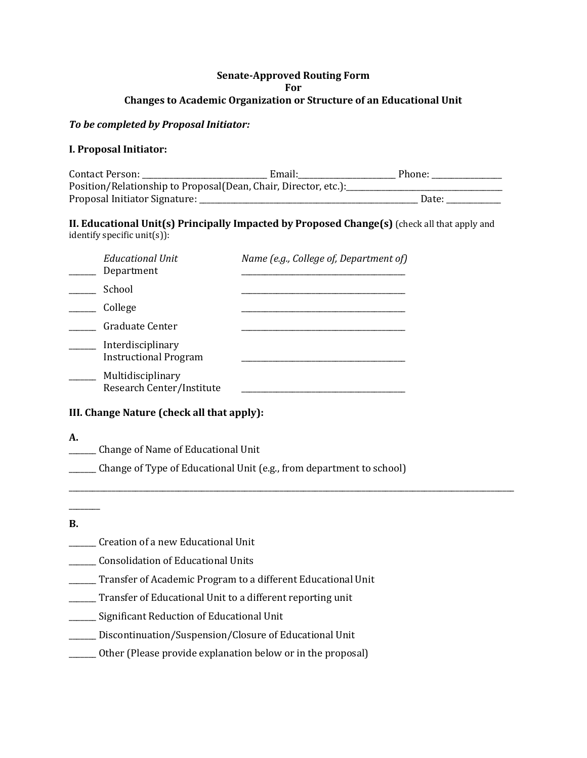# **Senate-Approved Routing Form For Changes to Academic Organization or Structure of an Educational Unit**

# *To be completed by Proposal Initiator:*

# **I. Proposal Initiator:**

| Contact Person:                                                 | Email: | Phone: |  |  |
|-----------------------------------------------------------------|--------|--------|--|--|
| Position/Relationship to Proposal(Dean, Chair, Director, etc.): |        |        |  |  |
| Proposal Initiator Signature:                                   |        | Date:  |  |  |

### **II. Educational Unit(s) Principally Impacted by Proposed Change(s)** (check all that apply and identify specific unit(s)):

| <b>Educational Unit</b><br>Department             | Name (e.g., College of, Department of) |
|---------------------------------------------------|----------------------------------------|
| School                                            |                                        |
| College                                           |                                        |
| Graduate Center                                   |                                        |
| Interdisciplinary<br><b>Instructional Program</b> |                                        |
| Multidisciplinary<br>Research Center/Institute    |                                        |

# **III. Change Nature (check all that apply):**

- **A.**
	- \_\_\_\_\_\_\_ Change of Name of Educational Unit

\_\_\_\_\_\_\_ Change of Type of Educational Unit (e.g., from department to school)

\_\_\_\_\_\_\_\_\_\_\_\_\_\_\_\_\_\_\_\_\_\_\_\_\_\_\_\_\_\_\_\_\_\_\_\_\_\_\_\_\_\_\_\_\_\_\_\_\_\_\_\_\_\_\_\_\_\_\_\_\_\_\_\_\_\_\_\_\_\_\_\_\_\_\_\_\_\_\_\_\_\_\_\_\_\_\_\_\_\_\_\_\_\_\_\_\_\_\_\_\_\_\_\_\_\_\_\_\_\_\_\_\_\_

**B.**

 $\overline{\phantom{a}}$ 

- \_\_\_\_\_\_\_ Creation of a new Educational Unit
- \_\_\_\_\_\_\_ Consolidation of Educational Units
- \_\_\_\_\_\_\_ Transfer of Academic Program to a different Educational Unit
- \_\_\_\_\_\_\_ Transfer of Educational Unit to a different reporting unit
- \_\_\_\_\_\_\_ Significant Reduction of Educational Unit
- \_\_\_\_\_\_\_ Discontinuation/Suspension/Closure of Educational Unit
- \_\_\_\_\_\_\_ Other (Please provide explanation below or in the proposal)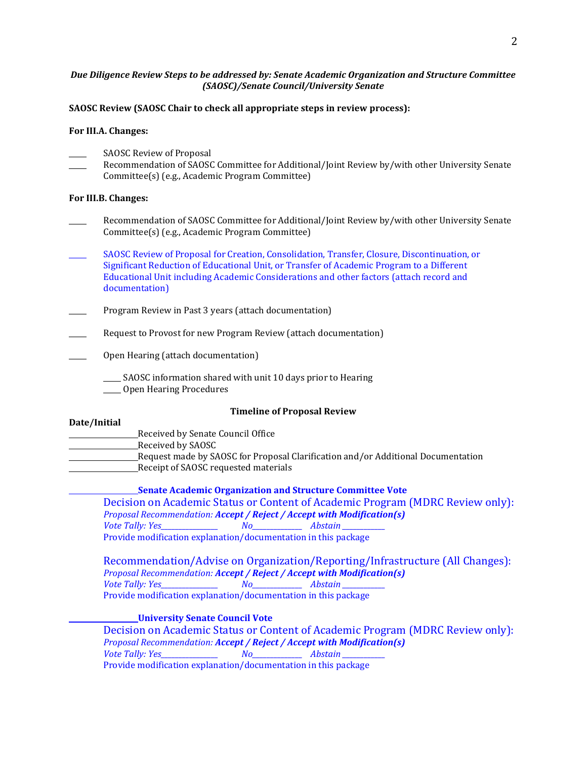#### *Due Diligence Review Steps to be addressed by: Senate Academic Organization and Structure Committee (SAOSC)/Senate Council/University Senate*

#### **SAOSC Review (SAOSC Chair to check all appropriate steps in review process):**

#### **For III.A. Changes:**

- SAOSC Review of Proposal
- Recommendation of SAOSC Committee for Additional/Joint Review by/with other University Senate Committee(s) (e.g., Academic Program Committee)

#### **For III.B. Changes:**

- Recommendation of SAOSC Committee for Additional/Joint Review by/with other University Senate Committee(s) (e.g., Academic Program Committee)
- \_\_\_\_\_ SAOSC Review of Proposal for Creation, Consolidation, Transfer, Closure, Discontinuation, or Significant Reduction of Educational Unit, or Transfer of Academic Program to a Different Educational Unit including Academic Considerations and other factors (attach record and documentation)
- Program Review in Past 3 years (attach documentation)
- Request to Provost for new Program Review (attach documentation)
- Open Hearing (attach documentation)
	- SAOSC information shared with unit 10 days prior to Hearing
	- \_\_\_\_\_ Open Hearing Procedures

#### **Timeline of Proposal Review**

#### **Date/Initial**

## Received by Senate Council Office

- Received by SAOSC
- Request made by SAOSC for Proposal Clarification and/or Additional Documentation
	- Receipt of SAOSC requested materials

#### **Senate Academic Organization and Structure Committee Vote**

Decision on Academic Status or Content of Academic Program (MDRC Review only): *Proposal Recommendation: Accept / Reject / Accept with Modification(s) Vote Tally: Yes\_\_\_\_\_\_\_\_\_\_\_\_\_\_\_\_ No\_\_\_\_\_\_\_\_\_\_\_\_\_\_ Abstain \_\_\_\_\_\_\_\_\_\_\_\_*  Provide modification explanation/documentation in this package

Recommendation/Advise on Organization/Reporting/Infrastructure (All Changes): *Proposal Recommendation: Accept / Reject / Accept with Modification(s) Vote Tally: Yes\_\_\_\_\_\_\_\_\_\_\_\_\_\_\_\_ No\_\_\_\_\_\_\_\_\_\_\_\_\_\_ Abstain \_\_\_\_\_\_\_\_\_\_\_\_*  Provide modification explanation/documentation in this package

#### **University Senate Council Vote**

Decision on Academic Status or Content of Academic Program (MDRC Review only): *Proposal Recommendation: Accept / Reject / Accept with Modification(s) Vote Tally: Yes\_\_\_\_\_\_\_\_\_\_\_\_\_\_\_\_ No\_\_\_\_\_\_\_\_\_\_\_\_\_\_ Abstain \_\_\_\_\_\_\_\_\_\_\_\_*  Provide modification explanation/documentation in this package